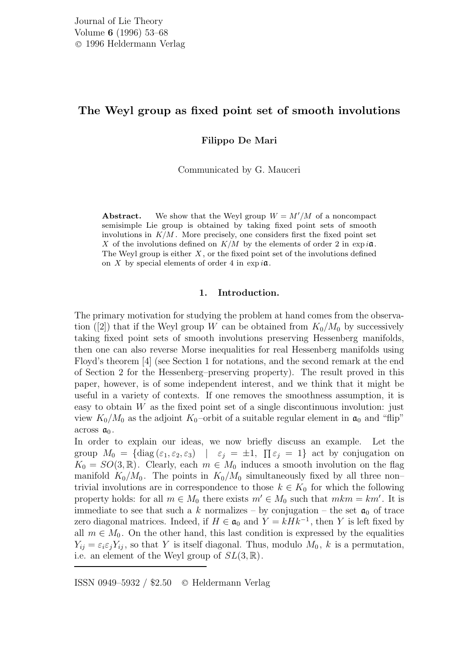# The Weyl group as fixed point set of smooth involutions

Filippo De Mari

Communicated by G. Mauceri

**Abstract.** We show that the Weyl group  $W = M'/M$  of a noncompact semisimple Lie group is obtained by taking fixed point sets of smooth involutions in  $K/M$ . More precisely, one considers first the fixed point set X of the involutions defined on  $K/M$  by the elements of order 2 in  $\exp i\mathfrak{a}$ . The Weyl group is either  $X$ , or the fixed point set of the involutions defined on X by special elements of order 4 in  $\exp i\mathfrak{a}$ .

## 1. Introduction.

The primary motivation for studying the problem at hand comes from the observation ([2]) that if the Weyl group W can be obtained from  $K_0/M_0$  by successively taking fixed point sets of smooth involutions preserving Hessenberg manifolds, then one can also reverse Morse inequalities for real Hessenberg manifolds using Floyd's theorem [4] (see Section 1 for notations, and the second remark at the end of Section 2 for the Hessenberg–preserving property). The result proved in this paper, however, is of some independent interest, and we think that it might be useful in a variety of contexts. If one removes the smoothness assumption, it is easy to obtain  $W$  as the fixed point set of a single discontinuous involution: just view  $K_0/M_0$  as the adjoint  $K_0$ -orbit of a suitable regular element in  $\mathfrak{a}_0$  and "flip" across  $a_0$ .

In order to explain our ideas, we now briefly discuss an example. Let the group  $M_0 = \{ \text{diag}(\varepsilon_1, \varepsilon_2, \varepsilon_3) \mid \varepsilon_j = \pm 1, \prod \varepsilon_j = 1 \}$  act by conjugation on  $K_0 = SO(3, \mathbb{R})$ . Clearly, each  $m \in M_0$  induces a smooth involution on the flag manifold  $K_0/M_0$ . The points in  $K_0/M_0$  simultaneously fixed by all three non– trivial involutions are in correspondence to those  $k \in K_0$  for which the following property holds: for all  $m \in M_0$  there exists  $m' \in M_0$  such that  $mkm = km'$ . It is immediate to see that such a k normalizes – by conjugation – the set  $a_0$  of trace zero diagonal matrices. Indeed, if  $H \in \mathfrak{a}_0$  and  $Y = kHk^{-1}$ , then Y is left fixed by all  $m \in M_0$ . On the other hand, this last condition is expressed by the equalities  $Y_{ij} = \varepsilon_i \varepsilon_j Y_{ij}$ , so that Y is itself diagonal. Thus, modulo  $M_0$ , k is a permutation, i.e. an element of the Weyl group of  $SL(3,\mathbb{R})$ .

ISSN 0949–5932 / \$2.50 <sup>C</sup> Heldermann Verlag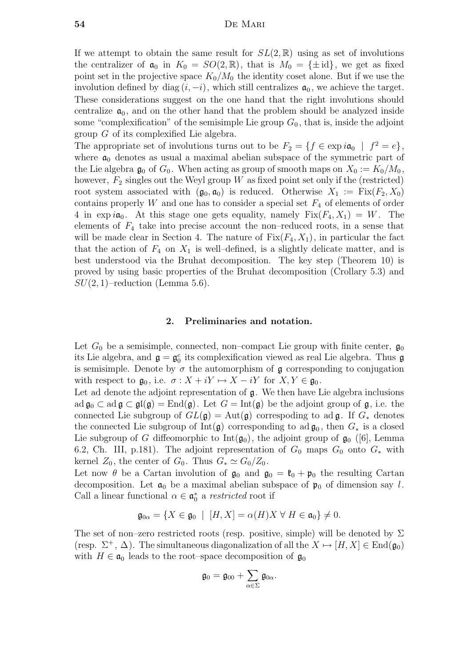If we attempt to obtain the same result for  $SL(2,\mathbb{R})$  using as set of involutions the centralizer of  $\mathfrak{a}_0$  in  $K_0 = SO(2, \mathbb{R})$ , that is  $M_0 = {\pm id}$ , we get as fixed point set in the projective space  $K_0/M_0$  the identity coset alone. But if we use the involution defined by diag  $(i, -i)$ , which still centralizes  $a_0$ , we achieve the target. These considerations suggest on the one hand that the right involutions should centralize  $a_0$ , and on the other hand that the problem should be analyzed inside some "complexification" of the semisimple Lie group  $G_0$ , that is, inside the adjoint group G of its complexified Lie algebra.

The appropriate set of involutions turns out to be  $F_2 = \{f \in \exp i\mathfrak{a}_0 \mid f^2 = e\},\$ where  $a_0$  denotes as usual a maximal abelian subspace of the symmetric part of the Lie algebra  $\mathfrak{g}_0$  of  $G_0$ . When acting as group of smooth maps on  $X_0 := K_0/M_0$ , however,  $F_2$  singles out the Weyl group W as fixed point set only if the (restricted) root system associated with  $(\mathfrak{g}_0, \mathfrak{a}_0)$  is reduced. Otherwise  $X_1 := \text{Fix}(F_2, X_0)$ contains properly  $W$  and one has to consider a special set  $F_4$  of elements of order 4 in  $\exp i\mathfrak{a}_0$ . At this stage one gets equality, namely  $Fix(F_4, X_1) = W$ . The elements of  $F_4$  take into precise account the non-reduced roots, in a sense that will be made clear in Section 4. The nature of  $Fix(F_4, X_1)$ , in particular the fact that the action of  $F_4$  on  $X_1$  is well-defined, is a slightly delicate matter, and is best understood via the Bruhat decomposition. The key step (Theorem 10) is proved by using basic properties of the Bruhat decomposition (Crollary 5.3) and  $SU(2,1)$ –reduction (Lemma 5.6).

#### 2. Preliminaries and notation.

Let  $G_0$  be a semisimple, connected, non–compact Lie group with finite center,  $\mathfrak{g}_0$ its Lie algebra, and  $\mathfrak{g} = \mathfrak{g}_0^c$  its complexification viewed as real Lie algebra. Thus  $\mathfrak{g}$ is semisimple. Denote by  $\sigma$  the automorphism of **g** corresponding to conjugation with respect to  $\mathfrak{g}_0$ , i.e.  $\sigma : X + iY \mapsto X - iY$  for  $X, Y \in \mathfrak{g}_0$ .

Let ad denote the adjoint representation of  $\mathfrak{g}$ . We then have Lie algebra inclusions ad  $\mathfrak{g}_0 \subset \text{ad } \mathfrak{g} \subset \mathfrak{gl}(\mathfrak{g}) = \text{End}(\mathfrak{g})$ . Let  $G = \text{Int}(\mathfrak{g})$  be the adjoint group of  $\mathfrak{g}$ , i.e. the connected Lie subgroup of  $GL(\mathfrak{g}) = Aut(\mathfrak{g})$  correspoding to ad  $\mathfrak{g}$ . If  $G_*$  denotes the connected Lie subgroup of Int( $\mathfrak{g}$ ) corresponding to ad  $\mathfrak{g}_0$ , then  $G_*$  is a closed Lie subgroup of G diffeomorphic to  $Int(\mathfrak{g}_0)$ , the adjoint group of  $\mathfrak{g}_0$  ([6], Lemma 6.2, Ch. III, p.181). The adjoint representation of  $G_0$  maps  $G_0$  onto  $G_*$  with kernel  $Z_0$ , the center of  $G_0$ . Thus  $G_* \simeq G_0/Z_0$ .

Let now  $\theta$  be a Cartan involution of  $\mathfrak{g}_0$  and  $\mathfrak{g}_0 = \mathfrak{k}_0 + \mathfrak{p}_0$  the resulting Cartan decomposition. Let  $a_0$  be a maximal abelian subspace of  $\mathfrak{p}_0$  of dimension say l. Call a linear functional  $\alpha \in \mathfrak{a}_0^*$  a restricted root if

$$
\mathfrak{g}_{0\alpha} = \{ X \in \mathfrak{g}_0 \: \mid \: [H, X] = \alpha(H)X \; \forall \; H \in \mathfrak{a}_0 \} \neq 0.
$$

The set of non–zero restricted roots (resp. positive, simple) will be denoted by  $\Sigma$ (resp.  $\Sigma^+$ ,  $\Delta$ ). The simultaneous diagonalization of all the  $X \mapsto [H, X] \in \text{End}(\mathfrak{g}_0)$ with  $H \in \mathfrak{a}_0$  leads to the root–space decomposition of  $\mathfrak{g}_0$ 

$$
\mathfrak{g}_0=\mathfrak{g}_{00}+\sum_{\alpha\in\Sigma}\mathfrak{g}_{0\alpha}.
$$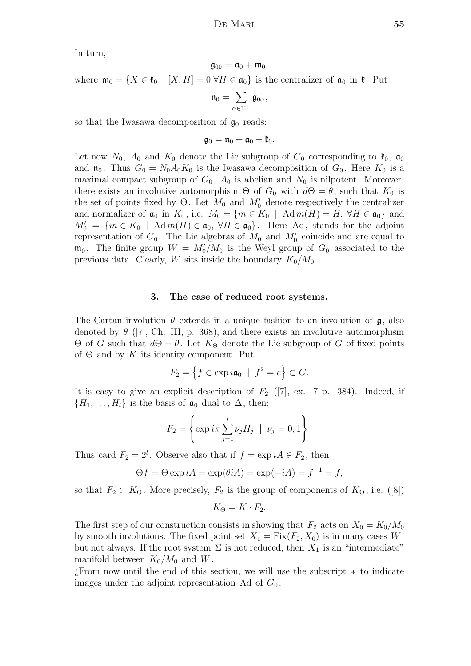In turn,

$$
\mathfrak{g}_{00}=\mathfrak{a}_0+\mathfrak{m}_0,
$$

where  $\mathfrak{m}_0 = \{X \in \mathfrak{k}_0 \mid [X, H] = 0 \,\forall H \in \mathfrak{a}_0\}$  is the centralizer of  $\mathfrak{a}_0$  in  $\mathfrak{k}$ . Put

$$
\mathfrak{n}_0=\sum_{\alpha\in\Sigma^+}\mathfrak{g}_{0\alpha},
$$

so that the Iwasawa decomposition of  $\mathfrak{g}_0$  reads:

$$
\mathfrak{g}_0=\mathfrak{n}_0+\mathfrak{a}_0+\mathfrak{k}_0.
$$

Let now  $N_0$ ,  $A_0$  and  $K_0$  denote the Lie subgroup of  $G_0$  corresponding to  $\mathfrak{k}_0$ ,  $\mathfrak{a}_0$ and  $\mathfrak{n}_0$ . Thus  $G_0 = N_0 A_0 K_0$  is the Iwasawa decomposition of  $G_0$ . Here  $K_0$  is a maximal compact subgroup of  $G_0$ ,  $A_0$  is abelian and  $N_0$  is nilpotent. Moreover, there exists an involutive automorphism  $\Theta$  of  $G_0$  with  $d\Theta = \theta$ , such that  $K_0$  is the set of points fixed by  $\Theta$ . Let  $M_0$  and  $M'_0$  denote respectively the centralizer and normalizer of  $\mathfrak{a}_0$  in  $K_0$ , i.e.  $M_0 = \{m \in K_0 \mid \text{Ad} m(H) = H, \forall H \in \mathfrak{a}_0\}$  and  $M_0' = \{m \in K_0 \mid \text{Ad}m(H) \in \mathfrak{a}_0, \forall H \in \mathfrak{a}_0\}.$  Here Ad, stands for the adjoint representation of  $G_0$ . The Lie algebras of  $M_0$  and  $M'_0$  coincide and are equal to  $\mathfrak{m}_0$ . The finite group  $W = M_0'/M_0$  is the Weyl group of  $G_0$  associated to the previous data. Clearly, W sits inside the boundary  $K_0/M_0$ .

#### 3. The case of reduced root systems.

The Cartan involution  $\theta$  extends in a unique fashion to an involution of  $\mathfrak{g}$ , also denoted by  $\theta$  ([7], Ch. III, p. 368), and there exists an involutive automorphism  $Θ$  of *G* such that  $dΘ = θ$ . Let  $K_\Theta$  denote the Lie subgroup of *G* of fixed points of  $\Theta$  and by K its identity component. Put

$$
F_2 = \left\{ f \in \exp i\mathfrak{a}_0 \: \mid \: f^2 = e \right\} \subset G.
$$

It is easy to give an explicit description of  $F_2$  ([7], ex. 7 p. 384). Indeed, if  $\{H_1, \ldots, H_l\}$  is the basis of  $\mathfrak{a}_0$  dual to  $\Delta$ , then:

$$
F_2 = \left\{ \exp i\pi \sum_{j=1}^l \nu_j H_j \ | \ \nu_j = 0, 1 \right\}.
$$

Thus card  $F_2 = 2^l$ . Observe also that if  $f = \exp iA \in F_2$ , then

$$
\Theta f = \Theta \exp iA = \exp(\theta iA) = \exp(-iA) = f^{-1} = f,
$$

so that  $F_2 \subset K_{\Theta}$ . More precisely,  $F_2$  is the group of components of  $K_{\Theta}$ , i.e. ([8])

$$
K_{\Theta} = K \cdot F_2.
$$

The first step of our construction consists in showing that  $F_2$  acts on  $X_0 = K_0/M_0$ by smooth involutions. The fixed point set  $X_1 = Fix(F_2, X_0)$  is in many cases W, but not always. If the root system  $\Sigma$  is not reduced, then  $X_1$  is an "intermediate" manifold between  $K_0/M_0$  and W.

¿From now until the end of this section, we will use the subscript ∗ to indicate images under the adjoint representation Ad of  $G_0$ .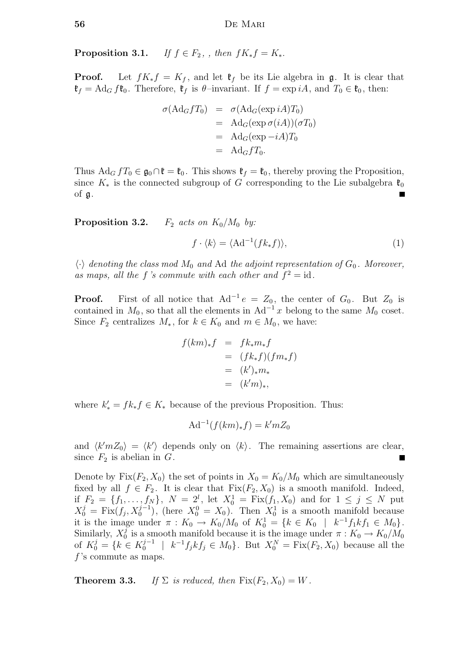**Proposition 3.1.** If  $f \in F_2$ , , then  $fK_*f = K_*$ .

**Proof.** Let  $fK_*f = K_f$ , and let  $\mathfrak{k}_f$  be its Lie algebra in g. It is clear that  $\mathfrak{k}_f = \text{Ad}_G f \mathfrak{k}_0$ . Therefore,  $\mathfrak{k}_f$  is  $\theta$ -invariant. If  $f = \exp iA$ , and  $T_0 \in \mathfrak{k}_0$ , then:

$$
\sigma(\text{Ad}_G f T_0) = \sigma(\text{Ad}_G(\exp iA)T_0)
$$
  
= 
$$
\text{Ad}_G(\exp \sigma(iA))(\sigma T_0)
$$
  
= 
$$
\text{Ad}_G(\exp -iA)T_0
$$
  
= 
$$
\text{Ad}_G f T_0.
$$

Thus  $\text{Ad}_G f T_0 \in \mathfrak{g}_0 \cap \mathfrak{k} = \mathfrak{k}_0$ . This shows  $\mathfrak{k}_f = \mathfrak{k}_0$ , thereby proving the Proposition, since  $K_*$  is the connected subgroup of G corresponding to the Lie subalgebra  $\mathfrak{k}_0$ of g. Ξ

**Proposition 3.2.**  $F_2$  acts on  $K_0/M_0$  by:

$$
f \cdot \langle k \rangle = \langle \operatorname{Ad}^{-1}(f k_* f) \rangle,\tag{1}
$$

 $\langle \cdot \rangle$  denoting the class mod  $M_0$  and Ad the adjoint representation of  $G_0$ . Moreover, as maps, all the f's commute with each other and  $f^2 = id$ .

**Proof.** First of all notice that  $Ad^{-1}e = Z_0$ , the center of  $G_0$ . But  $Z_0$  is contained in  $M_0$ , so that all the elements in  $Ad^{-1}x$  belong to the same  $M_0$  coset. Since  $F_2$  centralizes  $M_*$ , for  $k \in K_0$  and  $m \in M_0$ , we have:

$$
f(km)_*f = f k_* m_* f
$$
  
=  $(f k_* f)(f m_* f)$   
=  $(k')_* m_*$   
=  $(k'm)_*$ ,

where  $k'_{*} = f k_{*} f \in K_{*}$  because of the previous Proposition. Thus:

$$
Ad^{-1}(f(km)_*f) = k'mZ_0
$$

and  $\langle k'mZ_0 \rangle = \langle k' \rangle$  depends only on  $\langle k \rangle$ . The remaining assertions are clear, since  $F_2$  is abelian in  $G$ .

Denote by  $Fix(F_2, X_0)$  the set of points in  $X_0 = K_0/M_0$  which are simultaneously fixed by all  $f \in F_2$ . It is clear that  $Fix(F_2, X_0)$  is a smooth manifold. Indeed, if  $F_2 = \{f_1, \ldots, f_N\}, N = 2^l$ , let  $X_0^1 = \text{Fix}(f_1, X_0)$  and for  $1 \leq j \leq N$  put  $X_0^j = \text{Fix}(f_j, X_0^{j-1}),$  (here  $X_0^0 = X_0$ ). Then  $X_0^1$  is a smooth manifold because it is the image under  $\pi: K_0 \to K_0/M_0$  of  $K_0^1 = \{k \in K_0 \mid k^{-1}f_1kf_1 \in M_0\}.$ Similarly,  $X_0^j$ <sup>3</sup> is a smooth manifold because it is the image under  $\pi: K_0 \to K_0/M_0$ of  $K_0^j = \{k \in K_0^{j-1} \mid k^{-1}f_jkf_j \in M_0\}$ . But  $X_0^N = \text{Fix}(F_2, X_0)$  because all the  $f$ 's commute as maps.

**Theorem 3.3.** If  $\Sigma$  is reduced, then  $Fix(F_2, X_0) = W$ .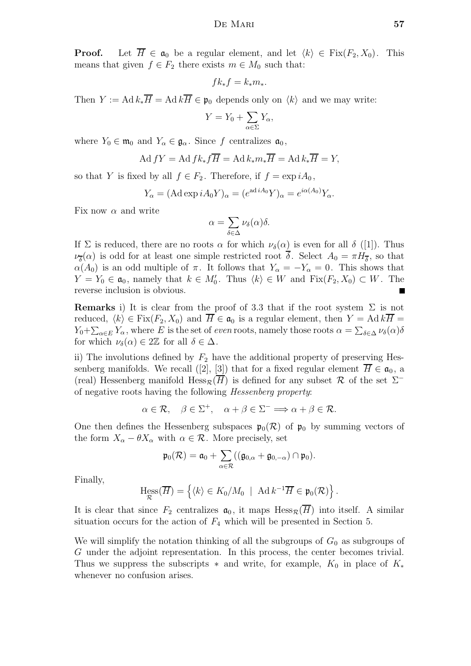**Proof.** Let  $\overline{H} \in \mathfrak{a}_0$  be a regular element, and let  $\langle k \rangle \in \text{Fix}(F_2, X_0)$ . This means that given  $f \in F_2$  there exists  $m \in M_0$  such that:

$$
fk_*f = k_*m_*.
$$

Then  $Y := \text{Ad} k_* \overline{H} = \text{Ad} k \overline{H} \in \mathfrak{p}_0$  depends only on  $\langle k \rangle$  and we may write:

$$
Y = Y_0 + \sum_{\alpha \in \Sigma} Y_{\alpha},
$$

where  $Y_0 \in \mathfrak{m}_0$  and  $Y_\alpha \in \mathfrak{g}_\alpha$ . Since f centralizes  $\mathfrak{a}_0$ ,

$$
\operatorname{Ad} fY = \operatorname{Ad} f k_* f \overline{H} = \operatorname{Ad} k_* m_* \overline{H} = \operatorname{Ad} k_* \overline{H} = Y,
$$

so that Y is fixed by all  $f \in F_2$ . Therefore, if  $f = \exp i A_0$ ,

$$
Y_{\alpha} = (\mathrm{Ad}\exp iA_0 Y)_{\alpha} = (e^{\mathrm{ad}\,iA_0}Y)_{\alpha} = e^{i\alpha(A_0)}Y_{\alpha}.
$$

Fix now  $\alpha$  and write

$$
\alpha = \sum_{\delta \in \Delta} \nu_{\delta}(\alpha) \delta.
$$

If  $\Sigma$  is reduced, there are no roots  $\alpha$  for which  $\nu_{\delta}(\alpha)$  is even for all  $\delta$  ([1]). Thus  $\nu_{\overline{\delta}}(\alpha)$  is odd for at least one simple restricted root  $\delta$ . Select  $A_0 = \pi H_{\overline{\delta}}$ , so that  $\alpha(A_0)$  is an odd multiple of  $\pi$ . It follows that  $Y_\alpha = -Y_\alpha = 0$ . This shows that  $Y = Y_0 \in \mathfrak{a}_0$ , namely that  $k \in M'_0$ . Thus  $\langle k \rangle \in W$  and  $Fix(F_2, X_0) \subset W$ . The reverse inclusion is obvious.

Remarks i) It is clear from the proof of 3.3 that if the root system  $\Sigma$  is not reduced,  $\langle k \rangle \in \text{Fix}(F_2, X_0)$  and  $\overline{H} \in \mathfrak{a}_0$  is a regular element, then  $Y = \text{Ad } k\overline{H} =$  $Y_0 + \sum_{\alpha \in E} Y_\alpha$ , where E is the set of even roots, namely those roots  $\alpha = \sum_{\delta \in \Delta} \nu_{\delta}(\alpha) \delta$ for which  $\nu_{\delta}(\alpha) \in 2\mathbb{Z}$  for all  $\delta \in \Delta$ .

ii) The involutions defined by  $F_2$  have the additional property of preserving Hessenberg manifolds. We recall ([2], [3]) that for a fixed regular element  $\overline{H} \in \mathfrak{a}_0$ , a (real) Hessenberg manifold  $\text{Hess}_{\mathcal{R}}(H)$  is defined for any subset  $\mathcal{R}$  of the set  $\Sigma^$ of negative roots having the following Hessenberg property:

$$
\alpha \in \mathcal{R}, \quad \beta \in \Sigma^+, \quad \alpha + \beta \in \Sigma^- \Longrightarrow \alpha + \beta \in \mathcal{R}.
$$

One then defines the Hessenberg subspaces  $\mathfrak{p}_0(\mathcal{R})$  of  $\mathfrak{p}_0$  by summing vectors of the form  $X_{\alpha} - \theta X_{\alpha}$  with  $\alpha \in \mathcal{R}$ . More precisely, set

$$
\mathfrak{p}_0(\mathcal{R}) = \mathfrak{a}_0 + \sum_{\alpha \in \mathcal{R}} ((\mathfrak{g}_{0,\alpha} + \mathfrak{g}_{0,-\alpha}) \cap \mathfrak{p}_0).
$$

Finally,

$$
\operatorname{Hess}_{\mathcal{R}}(\overline{H}) = \left\{ \langle k \rangle \in K_0/M_0 \mid \operatorname{Ad} k^{-1} \overline{H} \in \mathfrak{p}_0(\mathcal{R}) \right\}.
$$

It is clear that since  $F_2$  centralizes  $a_0$ , it maps  $Hess_{\mathcal{R}}(\overline{H})$  into itself. A similar situation occurs for the action of  $F_4$  which will be presented in Section 5.

We will simplify the notation thinking of all the subgroups of  $G_0$  as subgroups of G under the adjoint representation. In this process, the center becomes trivial. Thus we suppress the subscripts  $*$  and write, for example,  $K_0$  in place of  $K_*$ whenever no confusion arises.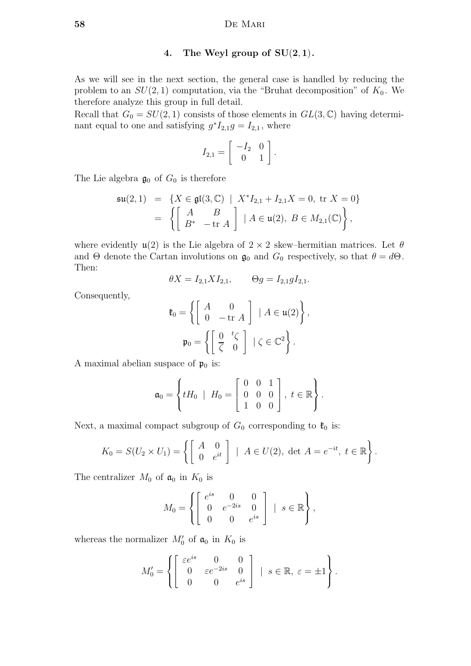#### 4. The Weyl group of  $SU(2,1)$ .

As we will see in the next section, the general case is handled by reducing the problem to an  $SU(2,1)$  computation, via the "Bruhat decomposition" of  $K_0$ . We therefore analyze this group in full detail.

Recall that  $G_0 = SU(2, 1)$  consists of those elements in  $GL(3, \mathbb{C})$  having determinant equal to one and satisfying  $g^*I_{2,1}g = I_{2,1}$ , where

$$
I_{2,1} = \left[ \begin{array}{cc} -I_2 & 0 \\ 0 & 1 \end{array} \right].
$$

The Lie algebra  $\mathfrak{g}_0$  of  $G_0$  is therefore

$$
\mathfrak{su}(2,1) = \{ X \in \mathfrak{gl}(3,\mathbb{C}) \mid X^* I_{2,1} + I_{2,1} X = 0, \text{ tr } X = 0 \}
$$

$$
= \left\{ \begin{bmatrix} A & B \\ B^* & -\text{ tr } A \end{bmatrix} \mid A \in \mathfrak{u}(2), B \in M_{2,1}(\mathbb{C}) \right\},
$$

where evidently  $\mathfrak{u}(2)$  is the Lie algebra of  $2 \times 2$  skew–hermitian matrices. Let  $\theta$ and  $\Theta$  denote the Cartan involutions on  $\mathfrak{g}_0$  and  $G_0$  respectively, so that  $\theta = d\Theta$ . Then:

$$
\theta X = I_{2,1} X I_{2,1}, \qquad \Theta g = I_{2,1} g I_{2,1}.
$$

Consequently,

$$
\mathfrak{k}_0 = \left\{ \begin{bmatrix} A & 0 \\ 0 & -\text{tr } A \end{bmatrix} \middle| A \in \mathfrak{u}(2) \right\},
$$

$$
\mathfrak{p}_0 = \left\{ \begin{bmatrix} 0 & {}^t\zeta \\ \overline{\zeta} & 0 \end{bmatrix} \middle| \zeta \in \mathbb{C}^2 \right\}.
$$

A maximal abelian suspace of  $\mathfrak{p}_0$  is:

$$
\mathfrak{a}_0 = \left\{ tH_0 \mid H_0 = \left[ \begin{array}{ccc} 0 & 0 & 1 \\ 0 & 0 & 0 \\ 1 & 0 & 0 \end{array} \right], t \in \mathbb{R} \right\}.
$$

Next, a maximal compact subgroup of  $G_0$  corresponding to  $\mathfrak{k}_0$  is:

$$
K_0 = S(U_2 \times U_1) = \left\{ \begin{bmatrix} A & 0 \\ 0 & e^{it} \end{bmatrix} \middle| A \in U(2), \text{ det } A = e^{-it}, t \in \mathbb{R} \right\}.
$$

The centralizer  $M_0$  of  $a_0$  in  $K_0$  is

$$
M_0 = \left\{ \begin{bmatrix} e^{is} & 0 & 0 \\ 0 & e^{-2is} & 0 \\ 0 & 0 & e^{is} \end{bmatrix} \; | \; s \in \mathbb{R} \right\},\
$$

whereas the normalizer  $M'_0$  of  $\mathfrak{a}_0$  in  $K_0$  is

$$
M'_{0} = \left\{ \begin{bmatrix} \varepsilon e^{is} & 0 & 0 \\ 0 & \varepsilon e^{-2is} & 0 \\ 0 & 0 & e^{is} \end{bmatrix} \middle| s \in \mathbb{R}, \ \varepsilon = \pm 1 \right\}.
$$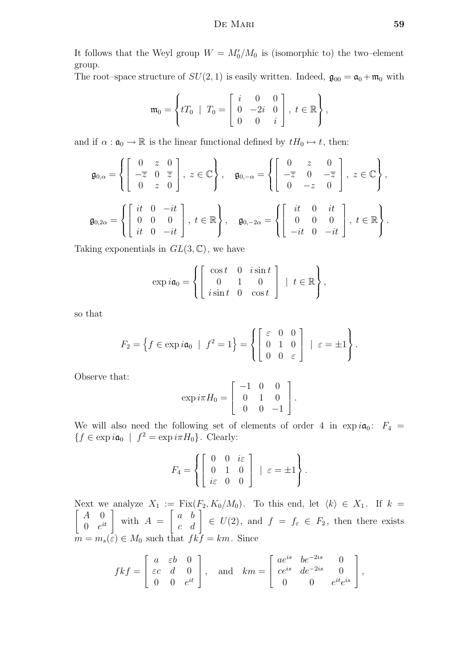It follows that the Weyl group  $W = M_0'/M_0$  is (isomorphic to) the two-element group.

The root–space structure of  $SU(2, 1)$  is easily written. Indeed,  $\mathfrak{g}_{00} = \mathfrak{a}_0 + \mathfrak{m}_0$  with

$$
\mathfrak{m}_0 = \left\{ tT_0 \mid T_0 = \left[ \begin{array}{ccc} i & 0 & 0 \\ 0 & -2i & 0 \\ 0 & 0 & i \end{array} \right], t \in \mathbb{R} \right\},\
$$

and if  $\alpha : \mathfrak{a}_0 \to \mathbb{R}$  is the linear functional defined by  $tH_0 \mapsto t$ , then:

$$
\mathfrak{g}_{0,\alpha} = \left\{ \begin{bmatrix} 0 & z & 0 \\ -\overline{z} & 0 & \overline{z} \\ 0 & z & 0 \end{bmatrix}, z \in \mathbb{C} \right\}, \quad \mathfrak{g}_{0,-\alpha} = \left\{ \begin{bmatrix} 0 & z & 0 \\ -\overline{z} & 0 & -\overline{z} \\ 0 & -z & 0 \end{bmatrix}, z \in \mathbb{C} \right\},\
$$

$$
\mathfrak{g}_{0,2\alpha} = \left\{ \begin{bmatrix} it & 0 & -it \\ 0 & 0 & 0 \\ it & 0 & -it \end{bmatrix}, t \in \mathbb{R} \right\}, \quad \mathfrak{g}_{0,-2\alpha} = \left\{ \begin{bmatrix} it & 0 & it \\ 0 & 0 & 0 \\ -it & 0 & -it \end{bmatrix}, t \in \mathbb{R} \right\}.
$$

Taking exponentials in  $GL(3,\mathbb{C})$ , we have

$$
\exp i\mathfrak{a}_0 = \left\{ \left[ \begin{array}{rrr} \cos t & 0 & i \sin t \\ 0 & 1 & 0 \\ i \sin t & 0 & \cos t \end{array} \right] \mid t \in \mathbb{R} \right\},\
$$

so that

$$
F_2 = \left\{ f \in \exp i\mathfrak{a}_0 \mid f^2 = 1 \right\} = \left\{ \begin{bmatrix} \varepsilon & 0 & 0 \\ 0 & 1 & 0 \\ 0 & 0 & \varepsilon \end{bmatrix} \mid \varepsilon = \pm 1 \right\}.
$$

Observe that:

$$
\exp i\pi H_0 = \left[ \begin{array}{rrr} -1 & 0 & 0 \\ 0 & 1 & 0 \\ 0 & 0 & -1 \end{array} \right].
$$

We will also need the following set of elements of order 4 in  $\exp i\mathfrak{a}_0$ :  $F_4 =$  $\{f \in \exp i\mathfrak{a}_0 \mid f^2 = \exp i\pi H_0\}.$  Clearly:

$$
F_4 = \left\{ \begin{bmatrix} 0 & 0 & i\varepsilon \\ 0 & 1 & 0 \\ i\varepsilon & 0 & 0 \end{bmatrix} \mid \varepsilon = \pm 1 \right\}.
$$

Next we analyze  $X_1 := \text{Fix}(F_2, K_0/M_0)$ . To this end, let  $\langle k \rangle \in X_1$ . If  $k = \lceil \begin{array}{cc} 1 & 0 \end{array} \rceil$  $A \quad 0$  $\begin{bmatrix} A & 0 \\ 0 & e^{it} \end{bmatrix}$  with  $A =$  $\begin{bmatrix} a & b \end{bmatrix}$ c d 1  $\in U(2)$ , and  $f = f_{\varepsilon} \in F_2$ , then there exists  $m = m_s(\varepsilon) \in M_0$  such that  $fkf = km$ . Since

$$
fkf = \begin{bmatrix} a & \varepsilon b & 0 \\ \varepsilon c & d & 0 \\ 0 & 0 & e^{it} \end{bmatrix}, \text{ and } km = \begin{bmatrix} ae^{is} & be^{-2is} & 0 \\ ce^{is} & de^{-2is} & 0 \\ 0 & 0 & e^{it}e^{is} \end{bmatrix},
$$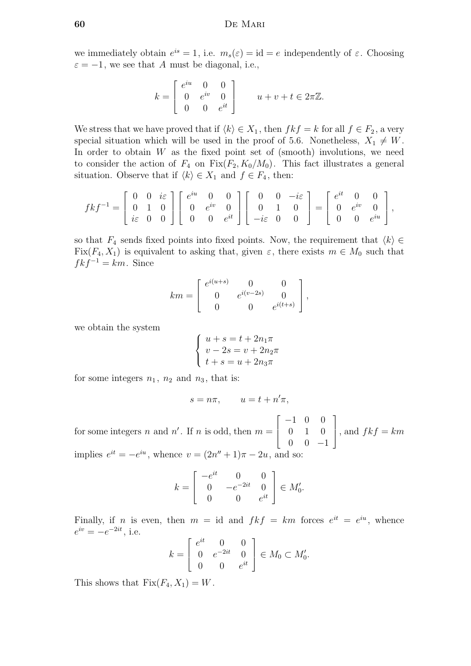we immediately obtain  $e^{is} = 1$ , i.e.  $m_s(\varepsilon) = id = e$  independently of  $\varepsilon$ . Choosing  $\varepsilon = -1$ , we see that A must be diagonal, i.e.,

$$
k = \begin{bmatrix} e^{iu} & 0 & 0 \\ 0 & e^{iv} & 0 \\ 0 & 0 & e^{it} \end{bmatrix} \qquad u + v + t \in 2\pi\mathbb{Z}.
$$

We stress that we have proved that if  $\langle k \rangle \in X_1$ , then  $fkf = k$  for all  $f \in F_2$ , a very special situation which will be used in the proof of 5.6. Nonetheless,  $X_1 \neq W$ . In order to obtain  $W$  as the fixed point set of (smooth) involutions, we need to consider the action of  $F_4$  on  $Fix(F_2, K_0/M_0)$ . This fact illustrates a general situation. Observe that if  $\langle k \rangle \in X_1$  and  $f \in F_4$ , then:

$$
fkf^{-1} = \begin{bmatrix} 0 & 0 & i\varepsilon \\ 0 & 1 & 0 \\ i\varepsilon & 0 & 0 \end{bmatrix} \begin{bmatrix} e^{iu} & 0 & 0 \\ 0 & e^{iv} & 0 \\ 0 & 0 & e^{it} \end{bmatrix} \begin{bmatrix} 0 & 0 & -i\varepsilon \\ 0 & 1 & 0 \\ -i\varepsilon & 0 & 0 \end{bmatrix} = \begin{bmatrix} e^{it} & 0 & 0 \\ 0 & e^{iv} & 0 \\ 0 & 0 & e^{iu} \end{bmatrix},
$$

so that  $F_4$  sends fixed points into fixed points. Now, the requirement that  $\langle k \rangle \in$ Fix( $F_4, X_1$ ) is equivalent to asking that, given  $\varepsilon$ , there exists  $m \in M_0$  such that  $fkf^{-1} = km.$  Since

$$
km = \begin{bmatrix} e^{i(u+s)} & 0 & 0 \\ 0 & e^{i(v-2s)} & 0 \\ 0 & 0 & e^{i(t+s)} \end{bmatrix},
$$

we obtain the system

$$
\left\{\begin{array}{l} u+s=t+2n_1\pi\\ v-2s=v+2n_2\pi\\ t+s=u+2n_3\pi\end{array}\right.
$$

for some integers  $n_1$ ,  $n_2$  and  $n_3$ , that is:

$$
s = n\pi, \qquad u = t + n'\pi,
$$

for some integers n and  $n'$ . If n is odd, then  $m =$  $\sqrt{ }$  $\overline{\phantom{a}}$ −1 0 0 0 1 0  $0 \t 0 \t -1$ 1  $\Big\},$  and  $fkf = km$ 

implies  $e^{it} = -e^{iu}$ , whence  $v = (2n'' + 1)\pi - 2u$ , and so:

$$
k = \begin{bmatrix} -e^{it} & 0 & 0 \\ 0 & -e^{-2it} & 0 \\ 0 & 0 & e^{it} \end{bmatrix} \in M'_0.
$$

Finally, if *n* is even, then  $m = id$  and  $fkf = km$  forces  $e^{it} = e^{iu}$ , whence  $e^{iv} = -e^{-2it}$ , i.e.

$$
k = \begin{bmatrix} e^{it} & 0 & 0 \\ 0 & e^{-2it} & 0 \\ 0 & 0 & e^{it} \end{bmatrix} \in M_0 \subset M'_0.
$$

This shows that  $Fix(F_4, X_1) = W$ .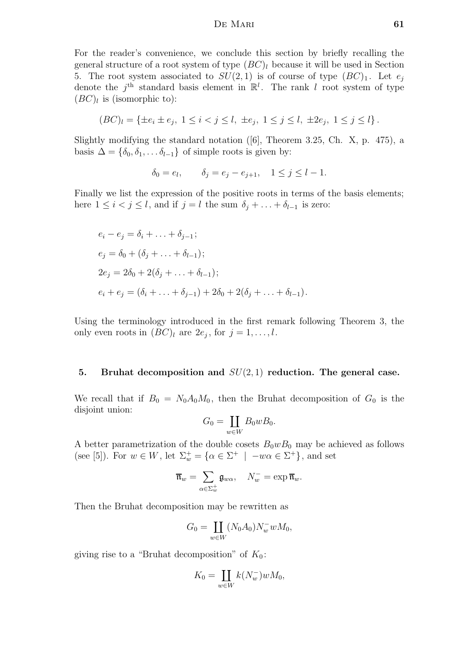For the reader's convenience, we conclude this section by briefly recalling the general structure of a root system of type  $(BC)_l$  because it will be used in Section 5. The root system associated to  $SU(2,1)$  is of course of type  $(BC)_1$ . Let  $e_i$ denote the  $j<sup>th</sup>$  standard basis element in  $\mathbb{R}^l$ . The rank l root system of type  $(BC)_l$  is (isomorphic to):

$$
(BC)_l = \{ \pm e_i \pm e_j, \ 1 \le i < j \le l, \ \pm e_j, \ 1 \le j \le l, \ \pm 2e_j, \ 1 \le j \le l \}.
$$

Slightly modifying the standard notation ([6], Theorem 3.25, Ch. X, p. 475), a basis  $\Delta = \{\delta_0, \delta_1, \ldots, \delta_{l-1}\}\$  of simple roots is given by:

$$
\delta_0 = e_l, \qquad \delta_j = e_j - e_{j+1}, \quad 1 \le j \le l-1.
$$

Finally we list the expression of the positive roots in terms of the basis elements; here  $1 \leq i < j \leq l$ , and if  $j = l$  the sum  $\delta_j + \ldots + \delta_{l-1}$  is zero:

$$
e_i - e_j = \delta_i + \dots + \delta_{j-1};
$$
  
\n
$$
e_j = \delta_0 + (\delta_j + \dots + \delta_{l-1});
$$
  
\n
$$
2e_j = 2\delta_0 + 2(\delta_j + \dots + \delta_{l-1});
$$
  
\n
$$
e_i + e_j = (\delta_i + \dots + \delta_{j-1}) + 2\delta_0 + 2(\delta_j + \dots + \delta_{l-1}).
$$

Using the terminology introduced in the first remark following Theorem 3, the only even roots in  $(BC)_l$  are  $2e_j$ , for  $j = 1, \ldots, l$ .

#### 5. Bruhat decomposition and  $SU(2,1)$  reduction. The general case.

We recall that if  $B_0 = N_0 A_0 M_0$ , then the Bruhat decomposition of  $G_0$  is the disjoint union:

$$
G_0 = \coprod_{w \in W} B_0 w B_0.
$$

A better parametrization of the double cosets  $B_0wB_0$  may be achieved as follows (see [5]). For  $w \in W$ , let  $\Sigma_w^+ = {\alpha \in \Sigma^+ \mid -w\alpha \in \Sigma^+}$ , and set

$$
\overline{\mathfrak{n}}_w = \sum_{\alpha \in \Sigma_w^+} \mathfrak{g}_{w\alpha}, \quad N_w^- = \exp \overline{\mathfrak{n}}_w.
$$

Then the Bruhat decomposition may be rewritten as

$$
G_0 = \coprod_{w \in W} (N_0 A_0) N_w^- w M_0,
$$

giving rise to a "Bruhat decomposition" of  $K_0$ :

$$
K_0 = \coprod_{w \in W} k(N_w^-) w M_0,
$$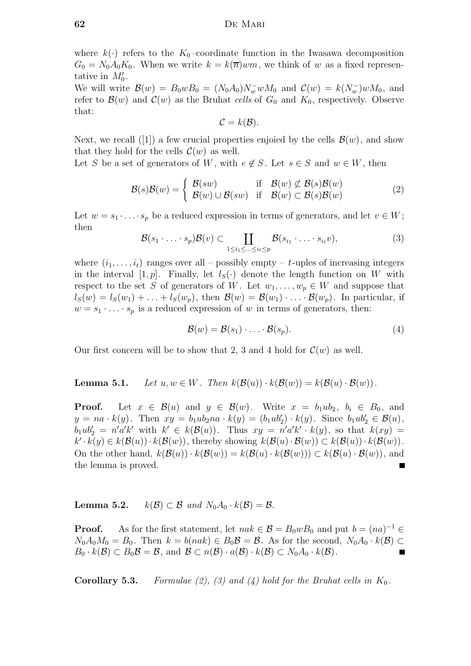where  $k(\cdot)$  refers to the  $K_0$ -coordinate function in the Iwasawa decomposition  $G_0 = N_0 A_0 K_0$ . When we write  $k = k(\overline{n}) w m$ , we think of w as a fixed representative in  $M'_0$ .

We will write  $\mathcal{B}(w) = B_0 w B_0 = (N_0 A_0) N_w^- w M_0$  and  $\mathcal{C}(w) = k(N_w^-) w M_0$ , and refer to  $\mathcal{B}(w)$  and  $\mathcal{C}(w)$  as the Bruhat cells of  $G_0$  and  $K_0$ , respectively. Observe that:

$$
\mathcal{C}=k(\mathcal{B}).
$$

Next, we recall ([1]) a few crucial properties enjoied by the cells  $\mathcal{B}(w)$ , and show that they hold for the cells  $\mathcal{C}(w)$  as well.

Let S be a set of generators of W, with  $e \notin S$ . Let  $s \in S$  and  $w \in W$ , then

$$
\mathcal{B}(s)\mathcal{B}(w) = \begin{cases} \mathcal{B}(sw) & \text{if } \mathcal{B}(w) \not\subset \mathcal{B}(s)\mathcal{B}(w) \\ \mathcal{B}(w) \cup \mathcal{B}(sw) & \text{if } \mathcal{B}(w) \subset \mathcal{B}(s)\mathcal{B}(w) \end{cases}
$$
(2)

Let  $w = s_1 \cdot \ldots \cdot s_p$  be a reduced expression in terms of generators, and let  $v \in W$ ; then

$$
\mathcal{B}(s_1 \cdot \ldots \cdot s_p) \mathcal{B}(v) \subset \coprod_{1 \le i_1 \le \ldots \le i_t \le p} \mathcal{B}(s_{i_1} \cdot \ldots \cdot s_{i_t} v), \tag{3}
$$

where  $(i_1, \ldots, i_t)$  ranges over all – possibly empty – t-uples of increasing integers in the interval  $[1, p]$ . Finally, let  $l_S(\cdot)$  denote the length function on W with respect to the set S of generators of W. Let  $w_1, \ldots, w_p \in W$  and suppose that  $l_S(w) = l_S(w_1) + \ldots + l_S(w_p)$ , then  $\mathcal{B}(w) = \mathcal{B}(w_1) \cdot \ldots \cdot \mathcal{B}(w_p)$ . In particular, if  $w = s_1 \cdot \ldots \cdot s_p$  is a reduced expression of w in terms of generators, then:

 $\mathcal{B}(w) = \mathcal{B}(s_1) \cdot \ldots \cdot \mathcal{B}(s_n).$  (4)

Our first concern will be to show that 2, 3 and 4 hold for  $\mathcal{C}(w)$  as well.

**Lemma 5.1.** Let  $u, w \in W$ . Then  $k(\mathcal{B}(u)) \cdot k(\mathcal{B}(w)) = k(\mathcal{B}(u) \cdot \mathcal{B}(w))$ .

**Proof.** Let  $x \in \mathcal{B}(u)$  and  $y \in \mathcal{B}(w)$ . Write  $x = b_1ub_2$ ,  $b_i \in B_0$ , and  $y = na \cdot k(y)$ . Then  $xy = b_1ub_2na \cdot k(y) = (b_1ub_2') \cdot k(y)$ . Since  $b_1ub_2' \in \mathcal{B}(u)$ ,  $b_1 u b_2' = n' a' k'$  with  $k' \in k(\mathcal{B}(u))$ . Thus  $xy = n' a' k' \cdot k(y)$ , so that  $k(xy) =$  $k' \cdot k(y) \in k(\mathcal{B}(u)) \cdot k(\mathcal{B}(w))$ , thereby showing  $k(\mathcal{B}(u) \cdot \mathcal{B}(w)) \subset k(\mathcal{B}(u)) \cdot k(\mathcal{B}(w))$ . On the other hand,  $k(\mathcal{B}(u)) \cdot k(\mathcal{B}(w)) = k(\mathcal{B}(u) \cdot k(\mathcal{B}(w))) \subset k(\mathcal{B}(u) \cdot \mathcal{B}(w))$ , and the lemma is proved.

**Lemma 5.2.**  $k(\mathcal{B}) \subset \mathcal{B}$  and  $N_0A_0 \cdot k(\mathcal{B}) = \mathcal{B}$ .

**Proof.** As for the first statement, let  $nak \in \mathcal{B} = B_0 w B_0$  and put  $b = (na)^{-1} \in \mathcal{B}$  $N_0A_0M_0 = B_0$ . Then  $k = b(nak) \in B_0\mathcal{B} = \mathcal{B}$ . As for the second,  $N_0A_0 \cdot k(\mathcal{B}) \subset$  $B_0 \cdot k(\mathcal{B}) \subset B_0 \mathcal{B} = \mathcal{B}$ , and  $\mathcal{B} \subset n(\mathcal{B}) \cdot a(\mathcal{B}) \cdot k(\mathcal{B}) \subset N_0 A_0 \cdot k(\mathcal{B})$ .

**Corollary 5.3.** Formulae (2), (3) and (4) hold for the Bruhat cells in  $K_0$ .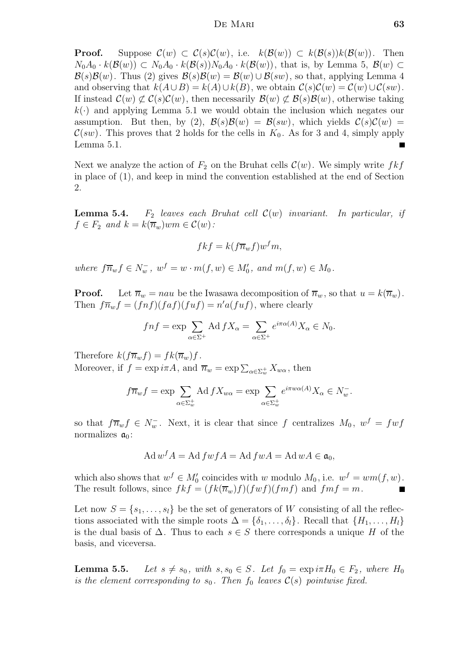**Proof.** Suppose  $\mathcal{C}(w) \subset \mathcal{C}(s)\mathcal{C}(w)$ , i.e.  $k(\mathcal{B}(w)) \subset k(\mathcal{B}(s))k(\mathcal{B}(w))$ . Then  $N_0A_0 \cdot k(\mathcal{B}(w)) \subset N_0A_0 \cdot k(\mathcal{B}(s))N_0A_0 \cdot k(\mathcal{B}(w))$ , that is, by Lemma 5,  $\mathcal{B}(w)$  $\mathcal{B}(s)\mathcal{B}(w)$ . Thus (2) gives  $\mathcal{B}(s)\mathcal{B}(w) = \mathcal{B}(w) \cup \mathcal{B}(sw)$ , so that, applying Lemma 4 and observing that  $k(A \cup B) = k(A) \cup k(B)$ , we obtain  $C(s)\mathcal{C}(w) = C(w) \cup C(sw)$ . If instead  $\mathcal{C}(w) \not\subset \mathcal{C}(s)\mathcal{C}(w)$ , then necessarily  $\mathcal{B}(w) \not\subset \mathcal{B}(s)\mathcal{B}(w)$ , otherwise taking  $k(.)$  and applying Lemma 5.1 we would obtain the inclusion which negates our assumption. But then, by (2),  $\mathcal{B}(s)\mathcal{B}(w) = \mathcal{B}(sw)$ , which yields  $\mathcal{C}(s)\mathcal{C}(w) =$  $\mathcal{C}(sw)$ . This proves that 2 holds for the cells in  $K_0$ . As for 3 and 4, simply apply Lemma 5.1 Lemma 5.1.

Next we analyze the action of  $F_2$  on the Bruhat cells  $\mathcal{C}(w)$ . We simply write  $fkf$ in place of (1), and keep in mind the convention established at the end of Section 2.

**Lemma 5.4.** F<sub>2</sub> leaves each Bruhat cell  $\mathcal{C}(w)$  invariant. In particular, if  $f \in F_2$  and  $k = k(\overline{n}_w)$ w $m \in \mathcal{C}(w)$ :

$$
fkf = k(f\overline{n}_w f)w^fm,
$$

where  $f\overline{n}_w f \in N_w^-$ ,  $w^f = w \cdot m(f, w) \in M'_0$ , and  $m(f, w) \in M_0$ .

**Proof.** Let  $\overline{n}_w = nau$  be the Iwasawa decomposition of  $\overline{n}_w$ , so that  $u = k(\overline{n}_w)$ . Then  $f\overline{n}_w f = (f\not\!\!\!\!f)(f\not\!\!\!\!f)(f\not\!\!\!f) = n'a(fuf)$ , where clearly

$$
fnf = \exp \sum_{\alpha \in \Sigma^{+}} \text{Ad } fX_{\alpha} = \sum_{\alpha \in \Sigma^{+}} e^{i\pi \alpha(A)} X_{\alpha} \in N_{0}.
$$

Therefore  $k(f\overline{n}_w f) = f k(\overline{n}_w)f$ . Moreover, if  $f = \exp i\pi A$ , and  $\overline{n}_w = \exp \sum_{\alpha \in \Sigma_w^+} X_{w\alpha}$ , then

$$
f\overline{n}_w f = \exp \sum_{\alpha \in \Sigma_w^+} \text{Ad} f X_{w\alpha} = \exp \sum_{\alpha \in \Sigma_w^+} e^{i\pi w \alpha(A)} X_{\alpha} \in N_w^-.
$$

so that  $f\overline{n}_w f \in N_w^-$ . Next, it is clear that since f centralizes  $M_0$ ,  $w^f = f w f$ normalizes  $a_0$ :

$$
Ad\,w^f A = Ad\,f w f A = Ad\,f w A = Ad\,w A \in \mathfrak{a}_0,
$$

which also shows that  $w^f \in M'_0$  coincides with w modulo  $M_0$ , i.e.  $w^f = w m(f, w)$ . The result follows, since  $fkf = (fk(\overline{n}_w)f)(fwf)(fmf)$  and  $fmf = m$ .

Let now  $S = \{s_1, \ldots, s_l\}$  be the set of generators of W consisting of all the reflections associated with the simple roots  $\Delta = {\delta_1, \ldots, \delta_l}$ . Recall that  $\{H_1, \ldots, H_l\}$ is the dual basis of  $\Delta$ . Thus to each  $s \in S$  there corresponds a unique H of the basis, and viceversa.

**Lemma 5.5.** Let  $s \neq s_0$ , with  $s, s_0 \in S$ . Let  $f_0 = \exp i\pi H_0 \in F_2$ , where  $H_0$ is the element corresponding to  $s_0$ . Then  $f_0$  leaves  $\mathcal{C}(s)$  pointwise fixed.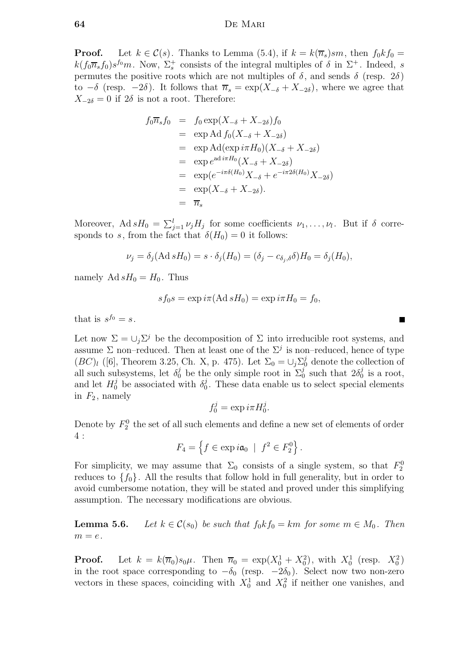**Proof.** Let  $k \in \mathcal{C}(s)$ . Thanks to Lemma (5.4), if  $k = k(\overline{n}_s)sm$ , then  $f_0kf_0 =$  $k(f_0\overline{n}_s f_0)s^{f_0}m$ . Now,  $\Sigma_s^+$  consists of the integral multiples of  $\delta$  in  $\Sigma^+$ . Indeed, s permutes the positive roots which are not multiples of  $\delta$ , and sends  $\delta$  (resp. 2 $\delta$ ) to  $-\delta$  (resp.  $-2\delta$ ). It follows that  $\overline{n}_s = \exp(X_{-\delta} + X_{-2\delta})$ , where we agree that  $X_{-2\delta} = 0$  if  $2\delta$  is not a root. Therefore:

$$
f_0\overline{n}_s f_0 = f_0 \exp(X_{-\delta} + X_{-2\delta}) f_0
$$
  
\n
$$
= \exp \mathrm{Ad} f_0(X_{-\delta} + X_{-2\delta})
$$
  
\n
$$
= \exp \mathrm{Ad}(\exp i\pi H_0)(X_{-\delta} + X_{-2\delta})
$$
  
\n
$$
= \exp e^{\mathrm{ad} i\pi H_0}(X_{-\delta} + X_{-2\delta})
$$
  
\n
$$
= \exp(e^{-i\pi\delta(H_0)}X_{-\delta} + e^{-i\pi 2\delta(H_0)}X_{-2\delta})
$$
  
\n
$$
= \exp(X_{-\delta} + X_{-2\delta}).
$$
  
\n
$$
= \overline{n}_s
$$

Moreover, Ad  $sH_0 = \sum_{j=1}^l \nu_j H_j$  for some coefficients  $\nu_1, \ldots, \nu_l$ . But if  $\delta$  corresponds to s, from the fact that  $\delta(H_0) = 0$  it follows:

$$
\nu_j = \delta_j(\text{Ad} s H_0) = s \cdot \delta_j(H_0) = (\delta_j - c_{\delta_j, \delta}) H_0 = \delta_j(H_0),
$$

namely Ad  $sH_0 = H_0$ . Thus

$$
s f_0 s = \exp i\pi (\operatorname{Ad} s H_0) = \exp i\pi H_0 = f_0,
$$

that is  $s^{f_0} = s$ .

Let now  $\Sigma = \bigcup_j \Sigma^j$  be the decomposition of  $\Sigma$  into irreducible root systems, and assume  $\Sigma$  non–reduced. Then at least one of the  $\Sigma^j$  is non–reduced, hence of type  $(BC)_l$  ([6], Theorem 3.25, Ch. X, p. 475). Let  $\Sigma_0 = \bigcup_j \Sigma_j^j$  denote the collection of all such subsystems, let  $\delta_0^j$  be the only simple root in  $\Sigma_0^j$  $\delta_0^j$  such that  $2\delta_0^j$  $\frac{3}{0}$  is a root, and let  $H_0^j$  be associated with  $\delta_0^j$  $0<sub>0</sub>$ . These data enable us to select special elements in  $F_2$ , namely

$$
f_0^j = \exp i\pi H_0^j.
$$

Denote by  $F_2^0$  the set of all such elements and define a new set of elements of order 4 :

 $F_4 = \left\{ f \in \exp i\mathfrak{a}_0 \: \mid \: f^2 \in F_2^0 \right\}$  $\bigg\}$ .

For simplicity, we may assume that  $\Sigma_0$  consists of a single system, so that  $F_2^0$ reduces to  $\{f_0\}$ . All the results that follow hold in full generality, but in order to avoid cumbersome notation, they will be stated and proved under this simplifying assumption. The necessary modifications are obvious.

**Lemma 5.6.** Let  $k \in \mathcal{C}(s_0)$  be such that  $f_0 k f_0 = km$  for some  $m \in M_0$ . Then  $m = e.$ 

**Proof.** Let  $k = k(\overline{n}_0)s_0\mu$ . Then  $\overline{n}_0 = \exp(X_0^1 + X_0^2)$ , with  $X_0^1$  (resp.  $X_0^2$ ) in the root space corresponding to  $-\delta_0$  (resp.  $-2\delta_0$ ). Select now two non-zero vectors in these spaces, coinciding with  $X_0^1$  and  $X_0^2$  if neither one vanishes, and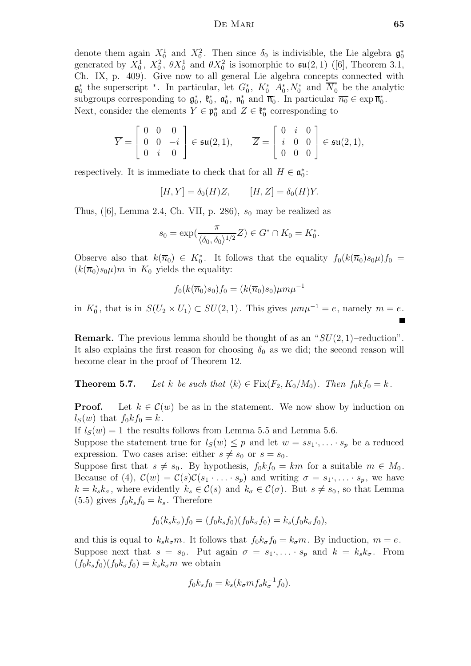denote them again  $X_0^1$  and  $X_0^2$ . Then since  $\delta_0$  is indivisible, the Lie algebra  $\mathfrak{g}_0^*$ generated by  $X_0^1$ ,  $X_0^2$ ,  $\theta X_0^1$  and  $\theta X_0^2$  is isomorphic to  $\mathfrak{su}(2,1)$  ([6], Theorem 3.1, Ch. IX, p. 409). Give now to all general Lie algebra concepts connected with  $\mathfrak{g}_0^*$  the superscript  $*$ . In particular, let  $G_0^*$ ,  $K_0^*$   $A_0^*$ ,  $N_0^*$  and  $\overline{N}_0^*$  be the analytic subgroups corresponding to  $\mathfrak{g}_0^*$ ,  $\mathfrak{k}_0^*$ ,  $\mathfrak{a}_0^*$ ,  $\mathfrak{n}_0^*$  and  $\overline{\mathfrak{n}_0^*}$ . In particular  $\overline{n_0} \in \exp \overline{\mathfrak{n}_0^*}$ . Next, consider the elements  $Y \in \mathfrak{p}_0^*$  and  $Z \in \mathfrak{k}_0^*$  corresponding to

$$
\overline{Y} = \begin{bmatrix} 0 & 0 & 0 \\ 0 & 0 & -i \\ 0 & i & 0 \end{bmatrix} \in \mathfrak{su}(2,1), \qquad \overline{Z} = \begin{bmatrix} 0 & i & 0 \\ i & 0 & 0 \\ 0 & 0 & 0 \end{bmatrix} \in \mathfrak{su}(2,1),
$$

respectively. It is immediate to check that for all  $H \in \mathfrak{a}_0^*$ :

$$
[H, Y] = \delta_0(H)Z, \qquad [H, Z] = \delta_0(H)Y.
$$

Thus,  $(6)$ , Lemma 2.4, Ch. VII, p. 286),  $s_0$  may be realized as

$$
s_0 = \exp(\frac{\pi}{\langle \delta_0, \delta_0 \rangle^{1/2}} Z) \in G^* \cap K_0 = K_0^*.
$$

Observe also that  $k(\overline{n}_0) \in K_0^*$ . It follows that the equality  $f_0(k(\overline{n}_0)s_0\mu)f_0 =$  $(k(\overline{n}_0)s_0\mu)m$  in  $K_0$  yields the equality:

$$
f_0(k(\overline{n}_0)s_0)f_0 = (k(\overline{n}_0)s_0)\mu m\mu^{-1}
$$

in  $K_0^*$ , that is in  $S(U_2 \times U_1) \subset SU(2, 1)$ . This gives  $\mu m \mu^{-1} = e$ , namely  $m = e$ .

**Remark.** The previous lemma should be thought of as an " $SU(2, 1)$ -reduction". It also explains the first reason for choosing  $\delta_0$  as we did; the second reason will become clear in the proof of Theorem 12.

**Theorem 5.7.** Let k be such that  $\langle k \rangle \in \text{Fix}(F_2, K_0/M_0)$ . Then  $f_0kf_0 = k$ .

**Proof.** Let  $k \in \mathcal{C}(w)$  be as in the statement. We now show by induction on  $l_S(w)$  that  $f_0kf_0=k$ .

If  $l_S(w) = 1$  the results follows from Lemma 5.5 and Lemma 5.6.

Suppose the statement true for  $l_S(w) \leq p$  and let  $w = ss_1 \cdot, \ldots \cdot s_p$  be a reduced expression. Two cases arise: either  $s \neq s_0$  or  $s = s_0$ .

Suppose first that  $s \neq s_0$ . By hypothesis,  $f_0 k f_0 = k m$  for a suitable  $m \in M_0$ . Because of (4),  $\mathcal{C}(w) = \mathcal{C}(s)\mathcal{C}(s_1 \cdot \ldots \cdot s_p)$  and writing  $\sigma = s_1 \cdot \ldots \cdot s_p$ , we have  $k = k_s k_{\sigma}$ , where evidently  $k_s \in \mathcal{C}(s)$  and  $k_{\sigma} \in \mathcal{C}(\sigma)$ . But  $s \neq s_0$ , so that Lemma  $(5.5)$  gives  $f_0k_s f_0 = k_s$ . Therefore

$$
f_0(k_s k_{\sigma}) f_0 = (f_0 k_s f_0)(f_0 k_{\sigma} f_0) = k_s(f_0 k_{\sigma} f_0),
$$

and this is equal to  $k_s k_{\sigma} m$ . It follows that  $f_0 k_{\sigma} f_0 = k_{\sigma} m$ . By induction,  $m = e$ . Suppose next that  $s = s_0$ . Put again  $\sigma = s_1 \cdot, \ldots \cdot s_p$  and  $k = k_s k_\sigma$ . From  $(f_0k_s f_0)(f_0k_\sigma f_0) = k_sk_\sigma m$  we obtain

$$
f_0 k_s f_0 = k_s (k_\sigma m f_o k_\sigma^{-1} f_0).
$$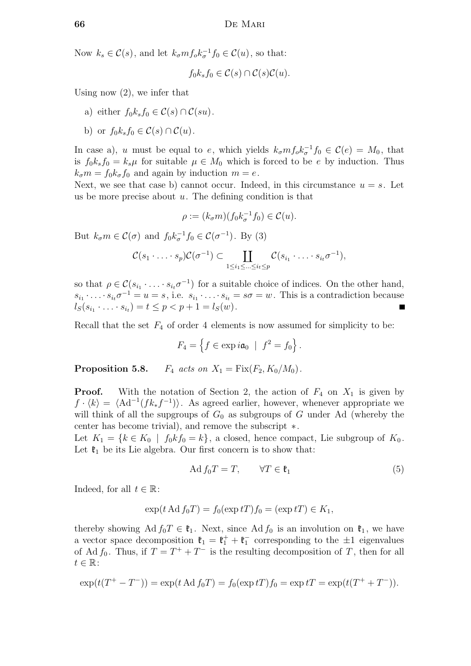Now  $k_s \in \mathcal{C}(s)$ , and let  $k_{\sigma} m f_o k_{\sigma}^{-1} f_0 \in \mathcal{C}(u)$ , so that:

$$
f_0 k_s f_0 \in \mathcal{C}(s) \cap \mathcal{C}(s) \mathcal{C}(u).
$$

Using now (2), we infer that

- a) either  $f_0k_s f_0 \in \mathcal{C}(s) \cap \mathcal{C}(su)$ .
- b) or  $f_0k_s f_0 \in \mathcal{C}(s) \cap \mathcal{C}(u)$ .

In case a), u must be equal to e, which yields  $k_{\sigma} m f_{o} k_{\sigma}^{-1} f_{0} \in \mathcal{C}(e) = M_0$ , that is  $f_0k_s f_0 = k_s\mu$  for suitable  $\mu \in M_0$  which is forced to be e by induction. Thus  $k_{\sigma}m = f_0k_{\sigma}f_0$  and again by induction  $m = e$ .

Next, we see that case b) cannot occur. Indeed, in this circumstance  $u = s$ . Let us be more precise about  $u$ . The defining condition is that

$$
\rho := (k_{\sigma} m)(f_0 k_{\sigma}^{-1} f_0) \in \mathcal{C}(u).
$$

But  $k_{\sigma} m \in \mathcal{C}(\sigma)$  and  $f_0 k_{\sigma}^{-1} f_0 \in \mathcal{C}(\sigma^{-1})$ . By (3)

$$
\mathcal{C}(s_1\cdot\ldots\cdot s_p)\mathcal{C}(\sigma^{-1})\subset\coprod_{1\leq i_1\leq \ldots\leq i_t\leq p}\mathcal{C}(s_{i_1}\cdot\ldots\cdot s_{i_t}\sigma^{-1}),
$$

so that  $\rho \in \mathcal{C}(s_{i_1} \cdot \ldots \cdot s_{i_t} \sigma^{-1})$  for a suitable choice of indices. On the other hand,  $s_{i_1} \cdot \ldots \cdot s_{i_t} \sigma^{-1} = u = s$ , i.e.  $s_{i_1} \cdot \ldots \cdot s_{i_t} = s\sigma = w$ . This is a contradiction because  $l_S(s_{i_1} \cdot \ldots \cdot s_{i_t}) = t \leq p < p + 1 = l_S(w).$ 

Recall that the set  $F_4$  of order 4 elements is now assumed for simplicity to be:

$$
F_4 = \left\{ f \in \exp i\mathfrak{a}_0 \mid f^2 = f_0 \right\}.
$$

**Proposition 5.8.**  $F_4$  acts on  $X_1 = \text{Fix}(F_2, K_0/M_0)$ .

**Proof.** With the notation of Section 2, the action of  $F_4$  on  $X_1$  is given by  $f \cdot \langle k \rangle = \langle \text{Ad}^{-1}(fk_*f^{-1}) \rangle$ . As agreed earlier, however, whenever appropriate we will think of all the supgroups of  $G_0$  as subgroups of G under Ad (whereby the center has become trivial), and remove the subscript ∗.

Let  $K_1 = \{k \in K_0 \mid f_0 k f_0 = k\}$ , a closed, hence compact, Lie subgroup of  $K_0$ . Let  $\mathfrak{k}_1$  be its Lie algebra. Our first concern is to show that:

$$
\text{Ad } f_0 T = T, \qquad \forall T \in \mathfrak{k}_1 \tag{5}
$$

Indeed, for all  $t \in \mathbb{R}$ :

$$
\exp(t \operatorname{Ad} f_0 T) = f_0(\exp tT) f_0 = (\exp tT) \in K_1,
$$

thereby showing Ad  $f_0T \in \mathfrak{k}_1$ . Next, since Ad  $f_0$  is an involution on  $\mathfrak{k}_1$ , we have a vector space decomposition  $\mathfrak{k}_1 = \mathfrak{k}_1^+ + \mathfrak{k}_1^-$  corresponding to the  $\pm 1$  eigenvalues of Ad  $f_0$ . Thus, if  $T = T^+ + T^-$  is the resulting decomposition of T, then for all  $t \in \mathbb{R}$ :

$$
\exp(t(T^+ - T^-)) = \exp(t \operatorname{Ad} f_0 T) = f_0(\exp tT) f_0 = \exp tT = \exp(t(T^+ + T^-)).
$$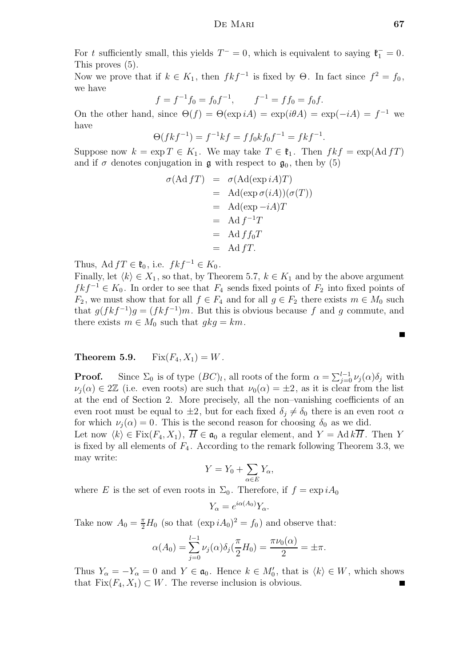For t sufficiently small, this yields  $T^- = 0$ , which is equivalent to saying  $\mathfrak{k}_1^- = 0$ . This proves (5).

Now we prove that if  $k \in K_1$ , then  $fkf^{-1}$  is fixed by  $\Theta$ . In fact since  $f^2 = f_0$ , we have

$$
f = f^{-1}f_0 = f_0f^{-1}, \qquad f^{-1} = ff_0 = f_0f.
$$

On the other hand, since  $\Theta(f) = \Theta(\exp iA) = \exp(i\theta A) = \exp(-iA) = f^{-1}$  we have

$$
\Theta(fkf^{-1}) = f^{-1}kf = ff_0kf_0f^{-1} = fkf^{-1}
$$

.

Suppose now  $k = \exp T \in K_1$ . We may take  $T \in \mathfrak{k}_1$ . Then  $fkf = \exp(\mathrm{Ad} f T)$ and if  $\sigma$  denotes conjugation in  $\mathfrak g$  with respect to  $\mathfrak g_0$ , then by (5)

$$
\sigma(\text{Ad } fT) = \sigma(\text{Ad}(\exp iA)T)
$$
  
= 
$$
\text{Ad}(\exp \sigma(iA))(\sigma(T))
$$
  
= 
$$
\text{Ad}(\exp -iA)T
$$
  
= 
$$
\text{Ad } f^{-1}T
$$
  
= 
$$
\text{Ad } f f_0 T
$$
  
= 
$$
\text{Ad } fT.
$$

Thus, Ad  $fT \in \mathfrak{k}_0$ , i.e.  $fkf^{-1} \in K_0$ .

Finally, let  $\langle k \rangle \in X_1$ , so that, by Theorem 5.7,  $k \in K_1$  and by the above argument  $f k f^{-1} \in K_0$ . In order to see that  $F_4$  sends fixed points of  $F_2$  into fixed points of  $F_2$ , we must show that for all  $f \in F_4$  and for all  $g \in F_2$  there exists  $m \in M_0$  such that  $g(fkf^{-1})g = (fkf^{-1})m$ . But this is obvious because f and g commute, and there exists  $m \in M_0$  such that  $gkg = km$ .

# **Theorem 5.9.** Fix $(F_4, X_1) = W$ .

**Proof.** Since  $\Sigma_0$  is of type  $(BC)_l$ , all roots of the form  $\alpha = \sum_{j=0}^{l-1} \nu_j(\alpha) \delta_j$  with  $\nu_i(\alpha) \in 2\mathbb{Z}$  (i.e. even roots) are such that  $\nu_0(\alpha) = \pm 2$ , as it is clear from the list at the end of Section 2. More precisely, all the non–vanishing coefficients of an even root must be equal to  $\pm 2$ , but for each fixed  $\delta_j \neq \delta_0$  there is an even root  $\alpha$ for which  $\nu_i(\alpha) = 0$ . This is the second reason for choosing  $\delta_0$  as we did.

Let now  $\langle k \rangle \in \text{Fix}(F_4, X_1), \overline{H} \in \mathfrak{a}_0$  a regular element, and  $Y = \text{Ad } k\overline{H}$ . Then Y is fixed by all elements of  $F_4$ . According to the remark following Theorem 3.3, we may write:

$$
Y = Y_0 + \sum_{\alpha \in E} Y_{\alpha},
$$

where E is the set of even roots in  $\Sigma_0$ . Therefore, if  $f = \exp i A_0$ 

$$
Y_{\alpha} = e^{i\alpha(A_0)} Y_{\alpha}.
$$

Take now  $A_0 = \frac{\pi}{2} H_0$  (so that  $(\exp i A_0)^2 = f_0$ ) and observe that:

$$
\alpha(A_0) = \sum_{j=0}^{l-1} \nu_j(\alpha) \delta_j(\frac{\pi}{2} H_0) = \frac{\pi \nu_0(\alpha)}{2} = \pm \pi.
$$

Thus  $Y_{\alpha} = -Y_{\alpha} = 0$  and  $Y \in \mathfrak{a}_0$ . Hence  $k \in M'_0$ , that is  $\langle k \rangle \in W$ , which shows that  $Fix(F_4, X_1) \subset W$ . The reverse inclusion is obvious.